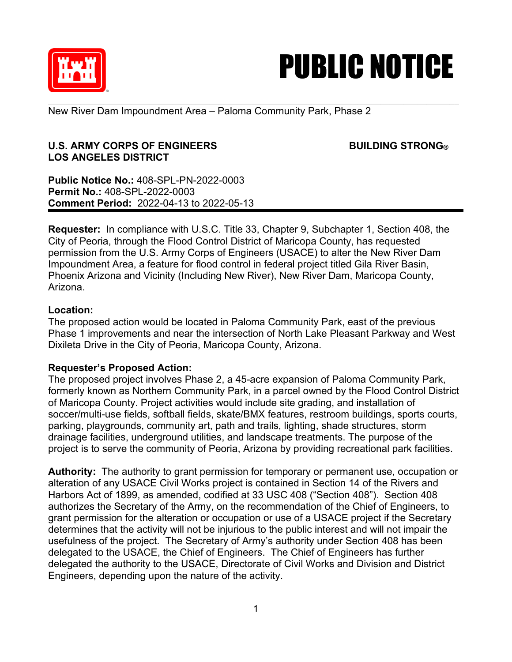



New River Dam Impoundment Area – Paloma Community Park, Phase 2

## **U.S. ARMY CORPS OF ENGINEERS BUILDING STRONG® LOS ANGELES DISTRICT**

**Public Notice No.:** 408-SPL-PN-2022-0003 **Permit No.:** 408-SPL-2022-0003 **Comment Period:** 2022-04-13 to 2022-05-13

**Requester:** In compliance with U.S.C. Title 33, Chapter 9, Subchapter 1, Section 408, the City of Peoria, through the Flood Control District of Maricopa County, has requested permission from the U.S. Army Corps of Engineers (USACE) to alter the New River Dam Impoundment Area, a feature for flood control in federal project titled Gila River Basin, Phoenix Arizona and Vicinity (Including New River), New River Dam, Maricopa County, Arizona.

## **Location:**

The proposed action would be located in Paloma Community Park, east of the previous Phase 1 improvements and near the intersection of North Lake Pleasant Parkway and West Dixileta Drive in the City of Peoria, Maricopa County, Arizona.

## **Requester's Proposed Action:**

The proposed project involves Phase 2, a 45-acre expansion of Paloma Community Park, formerly known as Northern Community Park, in a parcel owned by the Flood Control District of Maricopa County. Project activities would include site grading, and installation of soccer/multi-use fields, softball fields, skate/BMX features, restroom buildings, sports courts, parking, playgrounds, community art, path and trails, lighting, shade structures, storm drainage facilities, underground utilities, and landscape treatments. The purpose of the project is to serve the community of Peoria, Arizona by providing recreational park facilities.

**Authority:** The authority to grant permission for temporary or permanent use, occupation or alteration of any USACE Civil Works project is contained in Section 14 of the Rivers and Harbors Act of 1899, as amended, codified at 33 USC 408 ("Section 408"). Section 408 authorizes the Secretary of the Army, on the recommendation of the Chief of Engineers, to grant permission for the alteration or occupation or use of a USACE project if the Secretary determines that the activity will not be injurious to the public interest and will not impair the usefulness of the project. The Secretary of Army's authority under Section 408 has been delegated to the USACE, the Chief of Engineers. The Chief of Engineers has further delegated the authority to the USACE, Directorate of Civil Works and Division and District Engineers, depending upon the nature of the activity.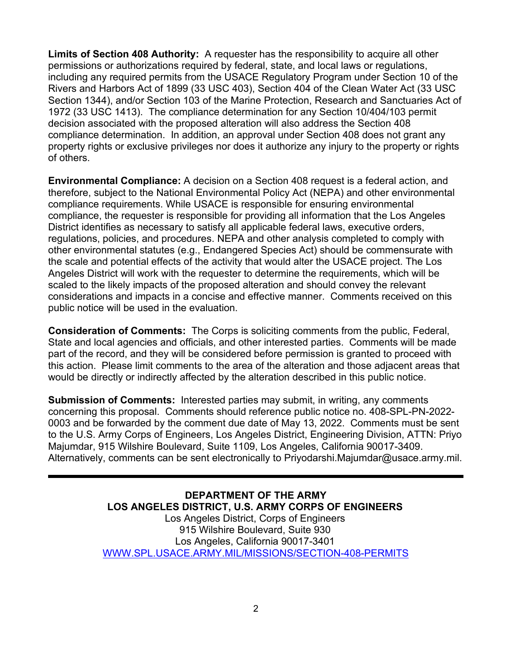**Limits of Section 408 Authority:** A requester has the responsibility to acquire all other permissions or authorizations required by federal, state, and local laws or regulations, including any required permits from the USACE Regulatory Program under Section 10 of the Rivers and Harbors Act of 1899 (33 USC 403), Section 404 of the Clean Water Act (33 USC Section 1344), and/or Section 103 of the Marine Protection, Research and Sanctuaries Act of 1972 (33 USC 1413). The compliance determination for any Section 10/404/103 permit decision associated with the proposed alteration will also address the Section 408 compliance determination. In addition, an approval under Section 408 does not grant any property rights or exclusive privileges nor does it authorize any injury to the property or rights of others.

**Environmental Compliance:** A decision on a Section 408 request is a federal action, and therefore, subject to the National Environmental Policy Act (NEPA) and other environmental compliance requirements. While USACE is responsible for ensuring environmental compliance, the requester is responsible for providing all information that the Los Angeles District identifies as necessary to satisfy all applicable federal laws, executive orders, regulations, policies, and procedures. NEPA and other analysis completed to comply with other environmental statutes (e.g., Endangered Species Act) should be commensurate with the scale and potential effects of the activity that would alter the USACE project. The Los Angeles District will work with the requester to determine the requirements, which will be scaled to the likely impacts of the proposed alteration and should convey the relevant considerations and impacts in a concise and effective manner. Comments received on this public notice will be used in the evaluation.

**Consideration of Comments:** The Corps is soliciting comments from the public, Federal, State and local agencies and officials, and other interested parties. Comments will be made part of the record, and they will be considered before permission is granted to proceed with this action. Please limit comments to the area of the alteration and those adjacent areas that would be directly or indirectly affected by the alteration described in this public notice.

**Submission of Comments:** Interested parties may submit, in writing, any comments concerning this proposal. Comments should reference public notice no. 408-SPL-PN-2022- 0003 and be forwarded by the comment due date of May 13, 2022. Comments must be sent to the U.S. Army Corps of Engineers, Los Angeles District, Engineering Division, ATTN: Priyo Majumdar, 915 Wilshire Boulevard, Suite 1109, Los Angeles, California 90017-3409. Alternatively, comments can be sent electronically to Priyodarshi.Majumdar@usace.army.mil.

> **DEPARTMENT OF THE ARMY LOS ANGELES DISTRICT, U.S. ARMY CORPS OF ENGINEERS** Los Angeles District, Corps of Engineers 915 Wilshire Boulevard, Suite 930 Los Angeles, California 90017-3401 WWW.SPL.USACE.ARMY.MIL/MISSIONS/SECTION-408-PERMITS